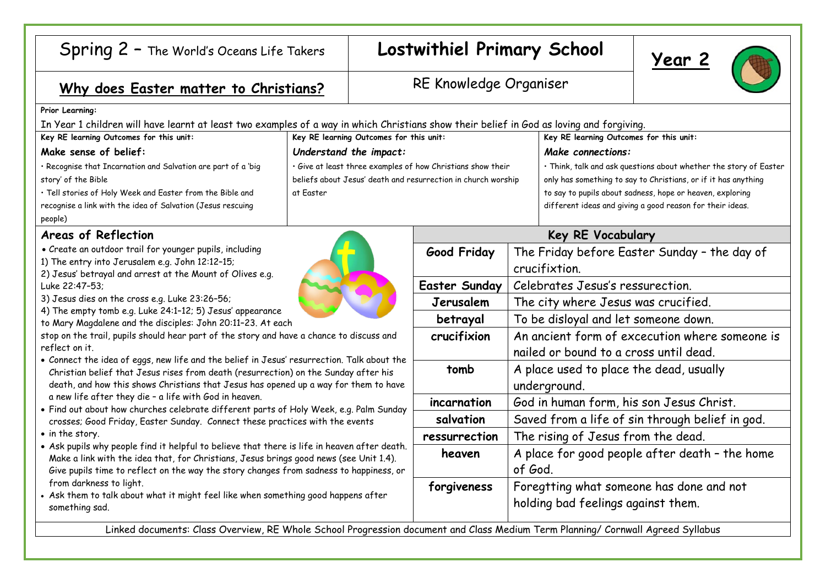| Spring 2 - The World's Oceans Life Takers                                                                                                                                                                                                                                                                                                                                                                                                                                                                                                                                                                                                                                                                                                                                                                                                                                                                                                                                                                                                                                                                                                                                                                                                                                                                                                                                                                                                                               |                                                               | Lostwithiel Primary School |                                                                   | <u>Year 2</u>                                                  |  |
|-------------------------------------------------------------------------------------------------------------------------------------------------------------------------------------------------------------------------------------------------------------------------------------------------------------------------------------------------------------------------------------------------------------------------------------------------------------------------------------------------------------------------------------------------------------------------------------------------------------------------------------------------------------------------------------------------------------------------------------------------------------------------------------------------------------------------------------------------------------------------------------------------------------------------------------------------------------------------------------------------------------------------------------------------------------------------------------------------------------------------------------------------------------------------------------------------------------------------------------------------------------------------------------------------------------------------------------------------------------------------------------------------------------------------------------------------------------------------|---------------------------------------------------------------|----------------------------|-------------------------------------------------------------------|----------------------------------------------------------------|--|
| Why does Easter matter to Christians?                                                                                                                                                                                                                                                                                                                                                                                                                                                                                                                                                                                                                                                                                                                                                                                                                                                                                                                                                                                                                                                                                                                                                                                                                                                                                                                                                                                                                                   |                                                               | RE Knowledge Organiser     |                                                                   |                                                                |  |
| Prior Learning:                                                                                                                                                                                                                                                                                                                                                                                                                                                                                                                                                                                                                                                                                                                                                                                                                                                                                                                                                                                                                                                                                                                                                                                                                                                                                                                                                                                                                                                         |                                                               |                            |                                                                   |                                                                |  |
| In Year 1 children will have learnt at least two examples of a way in which Christians show their belief in God as loving and forgiving.                                                                                                                                                                                                                                                                                                                                                                                                                                                                                                                                                                                                                                                                                                                                                                                                                                                                                                                                                                                                                                                                                                                                                                                                                                                                                                                                |                                                               |                            |                                                                   |                                                                |  |
| Key RE learning Outcomes for this unit:<br>Key RE learning Outcomes for this unit:                                                                                                                                                                                                                                                                                                                                                                                                                                                                                                                                                                                                                                                                                                                                                                                                                                                                                                                                                                                                                                                                                                                                                                                                                                                                                                                                                                                      |                                                               |                            | Key RE learning Outcomes for this unit:                           |                                                                |  |
| Make sense of belief:                                                                                                                                                                                                                                                                                                                                                                                                                                                                                                                                                                                                                                                                                                                                                                                                                                                                                                                                                                                                                                                                                                                                                                                                                                                                                                                                                                                                                                                   | Understand the impact:                                        |                            | Make connections:                                                 |                                                                |  |
| · Recognise that Incarnation and Salvation are part of a 'big                                                                                                                                                                                                                                                                                                                                                                                                                                                                                                                                                                                                                                                                                                                                                                                                                                                                                                                                                                                                                                                                                                                                                                                                                                                                                                                                                                                                           | · Give at least three examples of how Christians show their   |                            | · Think, talk and ask questions about whether the story of Easter |                                                                |  |
| story' of the Bible                                                                                                                                                                                                                                                                                                                                                                                                                                                                                                                                                                                                                                                                                                                                                                                                                                                                                                                                                                                                                                                                                                                                                                                                                                                                                                                                                                                                                                                     | beliefs about Jesus' death and resurrection in church worship |                            |                                                                   | only has something to say to Christians, or if it has anything |  |
| · Tell stories of Holy Week and Easter from the Bible and                                                                                                                                                                                                                                                                                                                                                                                                                                                                                                                                                                                                                                                                                                                                                                                                                                                                                                                                                                                                                                                                                                                                                                                                                                                                                                                                                                                                               | at Easter                                                     |                            |                                                                   | to say to pupils about sadness, hope or heaven, exploring      |  |
| recognise a link with the idea of Salvation (Jesus rescuing                                                                                                                                                                                                                                                                                                                                                                                                                                                                                                                                                                                                                                                                                                                                                                                                                                                                                                                                                                                                                                                                                                                                                                                                                                                                                                                                                                                                             |                                                               |                            |                                                                   | different ideas and giving a good reason for their ideas.      |  |
| people)                                                                                                                                                                                                                                                                                                                                                                                                                                                                                                                                                                                                                                                                                                                                                                                                                                                                                                                                                                                                                                                                                                                                                                                                                                                                                                                                                                                                                                                                 |                                                               |                            |                                                                   |                                                                |  |
| Areas of Reflection<br>• Create an outdoor trail for younger pupils, including<br>1) The entry into Jerusalem e.g. John 12:12-15;<br>2) Jesus' betrayal and arrest at the Mount of Olives e.g.<br>Luke 22:47-53:<br>3) Jesus dies on the cross e.g. Luke 23:26-56;<br>4) The empty tomb e.g. Luke 24:1-12; 5) Jesus' appearance<br>to Mary Magdalene and the disciples: John 20:11-23. At each<br>stop on the trail, pupils should hear part of the story and have a chance to discuss and<br>reflect on it.<br>• Connect the idea of eggs, new life and the belief in Jesus' resurrection. Talk about the<br>Christian belief that Jesus rises from death (resurrection) on the Sunday after his<br>death, and how this shows Christians that Jesus has opened up a way for them to have<br>a new life after they die - a life with God in heaven.<br>. Find out about how churches celebrate different parts of Holy Week, e.g. Palm Sunday<br>crosses; Good Friday, Easter Sunday. Connect these practices with the events<br>• in the story.<br>. Ask pupils why people find it helpful to believe that there is life in heaven after death.<br>Make a link with the idea that, for Christians, Jesus brings good news (see Unit 1.4).<br>Give pupils time to reflect on the way the story changes from sadness to happiness, or<br>from darkness to light.<br>• Ask them to talk about what it might feel like when something good happens after<br>something sad. |                                                               | Key RE Vocabulary          |                                                                   |                                                                |  |
|                                                                                                                                                                                                                                                                                                                                                                                                                                                                                                                                                                                                                                                                                                                                                                                                                                                                                                                                                                                                                                                                                                                                                                                                                                                                                                                                                                                                                                                                         |                                                               | <b>Good Friday</b>         | The Friday before Easter Sunday - the day of                      |                                                                |  |
|                                                                                                                                                                                                                                                                                                                                                                                                                                                                                                                                                                                                                                                                                                                                                                                                                                                                                                                                                                                                                                                                                                                                                                                                                                                                                                                                                                                                                                                                         |                                                               |                            | crucifixtion.                                                     |                                                                |  |
|                                                                                                                                                                                                                                                                                                                                                                                                                                                                                                                                                                                                                                                                                                                                                                                                                                                                                                                                                                                                                                                                                                                                                                                                                                                                                                                                                                                                                                                                         |                                                               | <b>Easter Sunday</b>       | Celebrates Jesus's ressurection.                                  |                                                                |  |
|                                                                                                                                                                                                                                                                                                                                                                                                                                                                                                                                                                                                                                                                                                                                                                                                                                                                                                                                                                                                                                                                                                                                                                                                                                                                                                                                                                                                                                                                         |                                                               |                            |                                                                   |                                                                |  |
|                                                                                                                                                                                                                                                                                                                                                                                                                                                                                                                                                                                                                                                                                                                                                                                                                                                                                                                                                                                                                                                                                                                                                                                                                                                                                                                                                                                                                                                                         |                                                               | Jerusalem                  | The city where Jesus was crucified.                               |                                                                |  |
|                                                                                                                                                                                                                                                                                                                                                                                                                                                                                                                                                                                                                                                                                                                                                                                                                                                                                                                                                                                                                                                                                                                                                                                                                                                                                                                                                                                                                                                                         |                                                               | betrayal                   | To be disloyal and let someone down.                              |                                                                |  |
|                                                                                                                                                                                                                                                                                                                                                                                                                                                                                                                                                                                                                                                                                                                                                                                                                                                                                                                                                                                                                                                                                                                                                                                                                                                                                                                                                                                                                                                                         |                                                               | crucifixion                | An ancient form of excecution where someone is                    |                                                                |  |
|                                                                                                                                                                                                                                                                                                                                                                                                                                                                                                                                                                                                                                                                                                                                                                                                                                                                                                                                                                                                                                                                                                                                                                                                                                                                                                                                                                                                                                                                         |                                                               |                            | nailed or bound to a cross until dead.                            |                                                                |  |
|                                                                                                                                                                                                                                                                                                                                                                                                                                                                                                                                                                                                                                                                                                                                                                                                                                                                                                                                                                                                                                                                                                                                                                                                                                                                                                                                                                                                                                                                         |                                                               | tomb                       | A place used to place the dead, usually                           |                                                                |  |
|                                                                                                                                                                                                                                                                                                                                                                                                                                                                                                                                                                                                                                                                                                                                                                                                                                                                                                                                                                                                                                                                                                                                                                                                                                                                                                                                                                                                                                                                         |                                                               |                            | underground.                                                      |                                                                |  |
|                                                                                                                                                                                                                                                                                                                                                                                                                                                                                                                                                                                                                                                                                                                                                                                                                                                                                                                                                                                                                                                                                                                                                                                                                                                                                                                                                                                                                                                                         |                                                               |                            |                                                                   |                                                                |  |
|                                                                                                                                                                                                                                                                                                                                                                                                                                                                                                                                                                                                                                                                                                                                                                                                                                                                                                                                                                                                                                                                                                                                                                                                                                                                                                                                                                                                                                                                         |                                                               | incarnation                | God in human form, his son Jesus Christ.                          |                                                                |  |
|                                                                                                                                                                                                                                                                                                                                                                                                                                                                                                                                                                                                                                                                                                                                                                                                                                                                                                                                                                                                                                                                                                                                                                                                                                                                                                                                                                                                                                                                         |                                                               | salvation                  | Saved from a life of sin through belief in god.                   |                                                                |  |
|                                                                                                                                                                                                                                                                                                                                                                                                                                                                                                                                                                                                                                                                                                                                                                                                                                                                                                                                                                                                                                                                                                                                                                                                                                                                                                                                                                                                                                                                         |                                                               | ressurrection              | The rising of Jesus from the dead.                                |                                                                |  |
|                                                                                                                                                                                                                                                                                                                                                                                                                                                                                                                                                                                                                                                                                                                                                                                                                                                                                                                                                                                                                                                                                                                                                                                                                                                                                                                                                                                                                                                                         |                                                               | heaven                     | A place for good people after death - the home                    |                                                                |  |
|                                                                                                                                                                                                                                                                                                                                                                                                                                                                                                                                                                                                                                                                                                                                                                                                                                                                                                                                                                                                                                                                                                                                                                                                                                                                                                                                                                                                                                                                         |                                                               |                            | of God.                                                           |                                                                |  |
|                                                                                                                                                                                                                                                                                                                                                                                                                                                                                                                                                                                                                                                                                                                                                                                                                                                                                                                                                                                                                                                                                                                                                                                                                                                                                                                                                                                                                                                                         |                                                               | forgiveness                | Foregtting what someone has done and not                          |                                                                |  |
|                                                                                                                                                                                                                                                                                                                                                                                                                                                                                                                                                                                                                                                                                                                                                                                                                                                                                                                                                                                                                                                                                                                                                                                                                                                                                                                                                                                                                                                                         |                                                               |                            | holding bad feelings against them.                                |                                                                |  |
|                                                                                                                                                                                                                                                                                                                                                                                                                                                                                                                                                                                                                                                                                                                                                                                                                                                                                                                                                                                                                                                                                                                                                                                                                                                                                                                                                                                                                                                                         |                                                               |                            |                                                                   |                                                                |  |
| Linked documents: Class Overview, RE Whole School Progression document and Class Medium Term Planning/ Cornwall Agreed Syllabus                                                                                                                                                                                                                                                                                                                                                                                                                                                                                                                                                                                                                                                                                                                                                                                                                                                                                                                                                                                                                                                                                                                                                                                                                                                                                                                                         |                                                               |                            |                                                                   |                                                                |  |